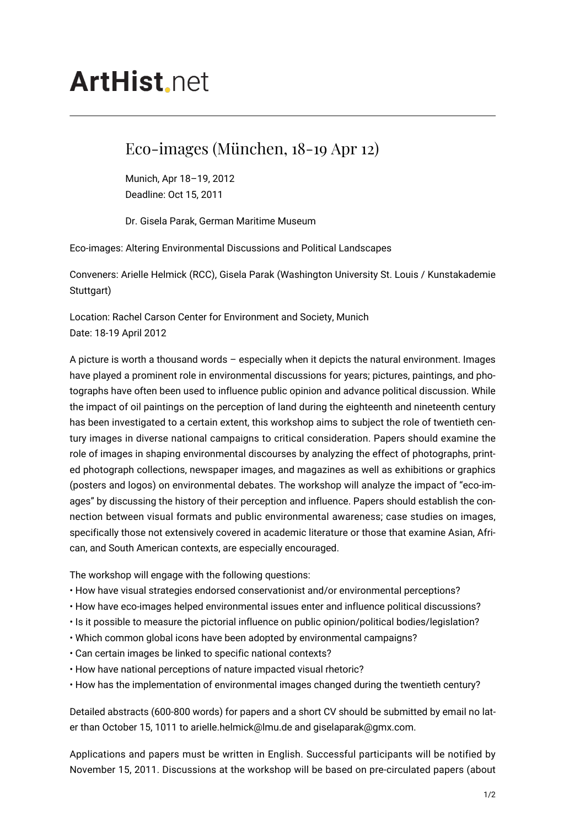## **ArtHist** net

## Eco-images (München, 18-19 Apr 12)

Munich, Apr 18–19, 2012 Deadline: Oct 15, 2011

Dr. Gisela Parak, German Maritime Museum

Eco-images: Altering Environmental Discussions and Political Landscapes

Conveners: Arielle Helmick (RCC), Gisela Parak (Washington University St. Louis / Kunstakademie Stuttgart)

Location: Rachel Carson Center for Environment and Society, Munich Date: 18-19 April 2012

A picture is worth a thousand words – especially when it depicts the natural environment. Images have played a prominent role in environmental discussions for years; pictures, paintings, and photographs have often been used to influence public opinion and advance political discussion. While the impact of oil paintings on the perception of land during the eighteenth and nineteenth century has been investigated to a certain extent, this workshop aims to subject the role of twentieth century images in diverse national campaigns to critical consideration. Papers should examine the role of images in shaping environmental discourses by analyzing the effect of photographs, printed photograph collections, newspaper images, and magazines as well as exhibitions or graphics (posters and logos) on environmental debates. The workshop will analyze the impact of "eco-images" by discussing the history of their perception and influence. Papers should establish the connection between visual formats and public environmental awareness; case studies on images, specifically those not extensively covered in academic literature or those that examine Asian, African, and South American contexts, are especially encouraged.

The workshop will engage with the following questions:

- How have visual strategies endorsed conservationist and/or environmental perceptions?
- How have eco-images helped environmental issues enter and influence political discussions?
- Is it possible to measure the pictorial influence on public opinion/political bodies/legislation?
- Which common global icons have been adopted by environmental campaigns?
- Can certain images be linked to specific national contexts?
- How have national perceptions of nature impacted visual rhetoric?
- How has the implementation of environmental images changed during the twentieth century?

Detailed abstracts (600-800 words) for papers and a short CV should be submitted by email no later than October 15, 1011 to arielle.helmick@lmu.de and giselaparak@gmx.com.

Applications and papers must be written in English. Successful participants will be notified by November 15, 2011. Discussions at the workshop will be based on pre-circulated papers (about